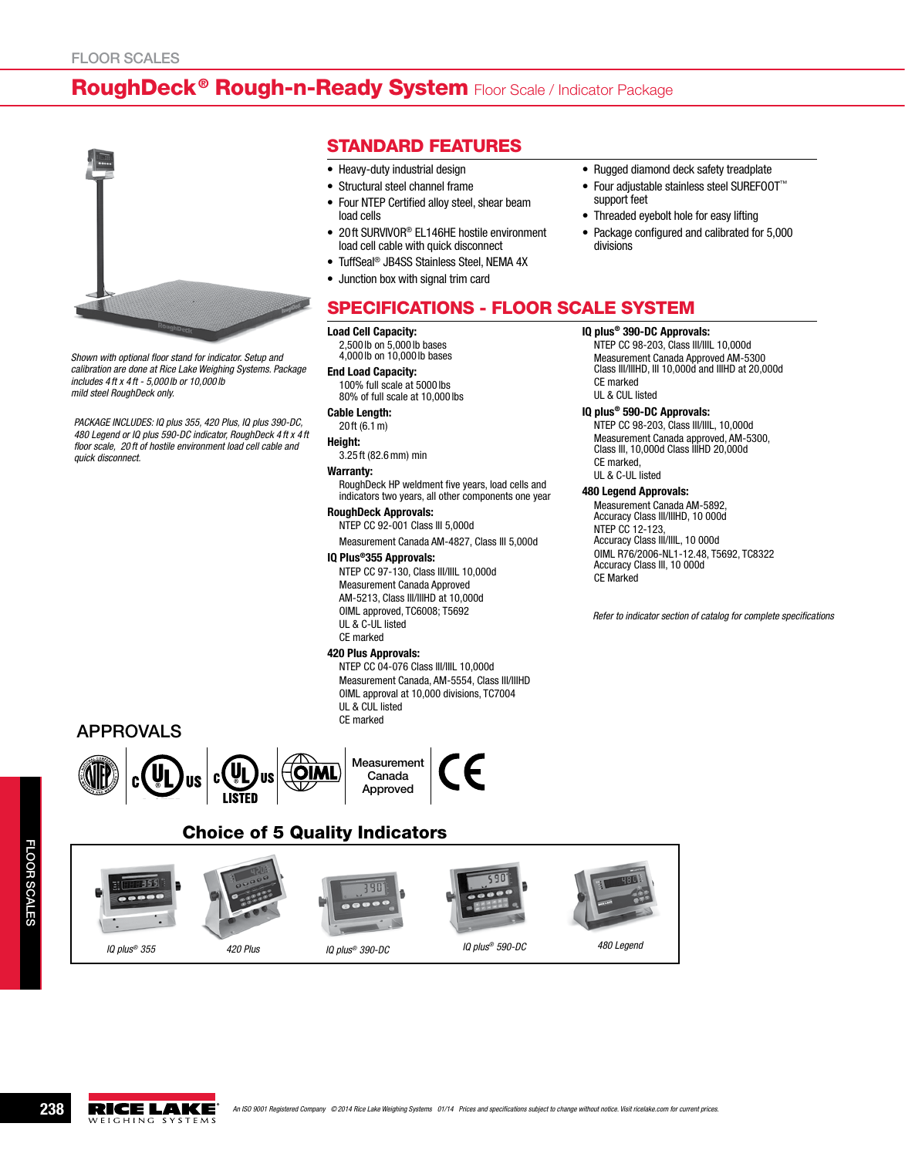# RoughDeck<sup>®</sup> Rough-n-Ready System Floor Scale / Indicator Package



*Shown with optional floor stand for indicator. Setup and calibration are done at Rice Lake Weighing Systems. Package includes 4 ft x 4 ft - 5,000 lb or 10,000 lb mild steel RoughDeck only.*

*PACKAGE INCLUDES: IQ plus 355, 420 Plus, IQ plus 390-DC, 480 Legend or IQ plus 590-DC indicator, RoughDeck 4 ft x 4 ft floor scale, 20 ft of hostile environment load cell cable and quick disconnect.*

- Standard Features
- Heavy-duty industrial design
- Structural steel channel frame
- Four NTEP Certified alloy steel, shear beam load cells
- 20ft SURVIVOR<sup>®</sup> EL146HE hostile environment load cell cable with quick disconnect
- TuffSeal<sup>®</sup> JB4SS Stainless Steel, NEMA 4X
- • Junction box with signal trim card
- Rugged diamond deck safety treadplate
- • Four adjustable stainless steel SUREFOOT™ support feet
- Threaded eyebolt hole for easy lifting
- Package configured and calibrated for 5,000 divisions

## Specifications - Floor Scale system

#### Load Cell Capacity:

2,500 lb on 5,000 lb bases 4,000 lb on 10,000 lb bases

End Load Capacity: 100% full scale at 5000 lbs 80% of full scale at 10,000 lbs

### Cable Length:

#### 20 ft (6.1m)

- Height:
	- 3.25 ft (82.6mm) min

### Warranty:

RoughDeck HP weldment five years, load cells and indicators two years, all other components one year

## RoughDeck Approvals:

NTEP CC 92-001 Class III 5,000d

Measurement Canada AM-4827, Class III 5,000d

### IQ Plus®355 Approvals:

NTEP CC 97-130, Class III/IIIL 10,000d Measurement Canada Approved AM-5213, Class III/IIIHD at 10,000d OIML approved, TC6008; T5692 UL & C-UL listed CE marked

## 420 Plus Approvals:

NTEP CC 04-076 Class III/IIIL 10,000d Measurement Canada, AM-5554, Class III/IIIHD OIML approval at 10,000 divisions, TC7004 UL & CUL listed CE marked

# IQ plus® 390-DC Approvals:

NTEP CC 98-203, Class III/IIIL 10,000d Measurement Canada Approved AM-5300 Class III/IIIHD, III 10,000d and IIIHD at 20,000d CE marked UL & CUL listed

### IQ plus® 590-DC Approvals:

NTEP CC 98-203, Class III/IIIL, 10,000d Measurement Canada approved, AM-5300, Class III, 10,000d Class IIIHD 20,000d CE marked, UL & C-UL listed

### 480 Legend Approvals:

Measurement Canada AM-5892, Accuracy Class III/IIIHD, 10 000d NTEP CC 12-123, Accuracy Class III/IIIL, 10 000d OIML R76/2006-NL1-12.48, T5692, TC8322 Accuracy Class III, 10 000d CE Marked

*Refer to indicator section of catalog for complete specifications*

## APPROVALS





## Canada Approved



# Choice of 5 Quality Indicators